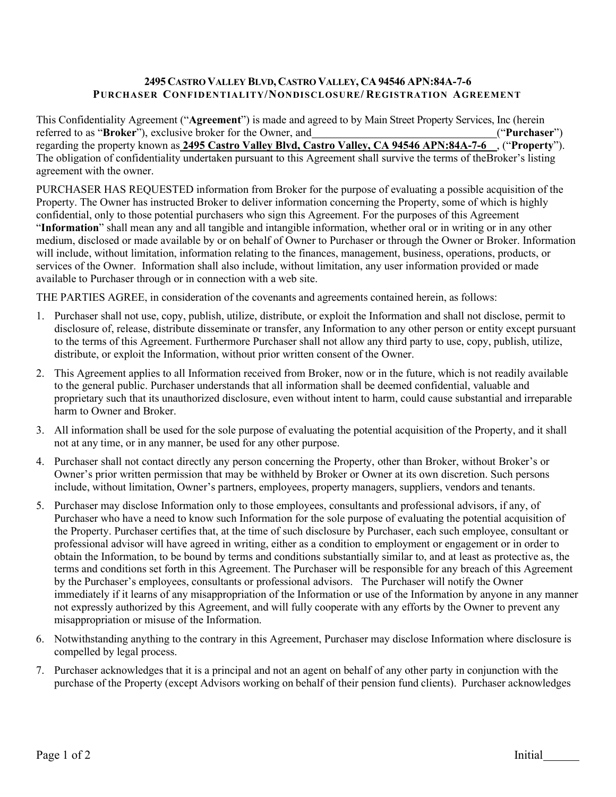## **2495 CASTRO VALLEY BLVD, CASTRO VALLEY, CA 94546 APN:84A-7-6 PURCHASER CONFIDENTIALITY/NONDISCLOSURE/ REGISTRATION AGREEMENT**

This Confidentiality Agreement ("**Agreement**") is made and agreed to by Main Street Property Services, Inc (herein referred to as "**Broker**"), exclusive broker for the Owner, and ("**Purchaser**") regarding the property known as **2495 Castro Valley Blvd, Castro Valley, CA 94546 APN:84A-7-6** , ("**Property**"). The obligation of confidentiality undertaken pursuant to this Agreement shall survive the terms of theBroker's listing agreement with the owner.

PURCHASER HAS REQUESTED information from Broker for the purpose of evaluating a possible acquisition of the Property. The Owner has instructed Broker to deliver information concerning the Property, some of which is highly confidential, only to those potential purchasers who sign this Agreement. For the purposes of this Agreement "**Information**" shall mean any and all tangible and intangible information, whether oral or in writing or in any other medium, disclosed or made available by or on behalf of Owner to Purchaser or through the Owner or Broker. Information will include, without limitation, information relating to the finances, management, business, operations, products, or services of the Owner. Information shall also include, without limitation, any user information provided or made available to Purchaser through or in connection with a web site.

THE PARTIES AGREE, in consideration of the covenants and agreements contained herein, as follows:

- 1. Purchaser shall not use, copy, publish, utilize, distribute, or exploit the Information and shall not disclose, permit to disclosure of, release, distribute disseminate or transfer, any Information to any other person or entity except pursuant to the terms of this Agreement. Furthermore Purchaser shall not allow any third party to use, copy, publish, utilize, distribute, or exploit the Information, without prior written consent of the Owner.
- 2. This Agreement applies to all Information received from Broker, now or in the future, which is not readily available to the general public. Purchaser understands that all information shall be deemed confidential, valuable and proprietary such that its unauthorized disclosure, even without intent to harm, could cause substantial and irreparable harm to Owner and Broker.
- 3. All information shall be used for the sole purpose of evaluating the potential acquisition of the Property, and it shall not at any time, or in any manner, be used for any other purpose.
- 4. Purchaser shall not contact directly any person concerning the Property, other than Broker, without Broker's or Owner's prior written permission that may be withheld by Broker or Owner at its own discretion. Such persons include, without limitation, Owner's partners, employees, property managers, suppliers, vendors and tenants.
- 5. Purchaser may disclose Information only to those employees, consultants and professional advisors, if any, of Purchaser who have a need to know such Information for the sole purpose of evaluating the potential acquisition of the Property. Purchaser certifies that, at the time of such disclosure by Purchaser, each such employee, consultant or professional advisor will have agreed in writing, either as a condition to employment or engagement or in order to obtain the Information, to be bound by terms and conditions substantially similar to, and at least as protective as, the terms and conditions set forth in this Agreement. The Purchaser will be responsible for any breach of this Agreement by the Purchaser's employees, consultants or professional advisors. The Purchaser will notify the Owner immediately if it learns of any misappropriation of the Information or use of the Information by anyone in any manner not expressly authorized by this Agreement, and will fully cooperate with any efforts by the Owner to prevent any misappropriation or misuse of the Information.
- 6. Notwithstanding anything to the contrary in this Agreement, Purchaser may disclose Information where disclosure is compelled by legal process.
- 7. Purchaser acknowledges that it is a principal and not an agent on behalf of any other party in conjunction with the purchase of the Property (except Advisors working on behalf of their pension fund clients). Purchaser acknowledges